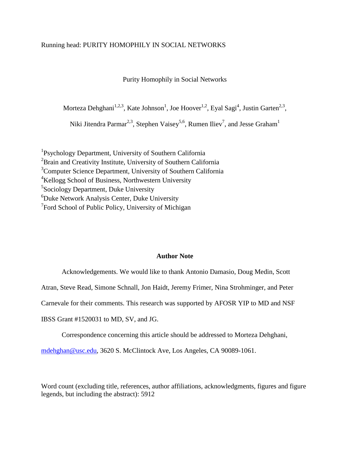# Running head: PURITY HOMOPHILY IN SOCIAL NETWORKS

Purity Homophily in Social Networks

Morteza Dehghani<sup>1,2,3</sup>, Kate Johnson<sup>1</sup>, Joe Hoover<sup>1,2</sup>, Eyal Sagi<sup>4</sup>, Justin Garten<sup>2,3</sup>,

Niki Jitendra Parmar<sup>2,3</sup>, Stephen Vaisey<sup>5,6</sup>, Rumen Iliev<sup>7</sup>, and Jesse Graham<sup>1</sup>

<sup>1</sup>Psychology Department, University of Southern California <sup>2</sup>Brain and Creativity Institute, University of Southern California <sup>3</sup>Computer Science Department, University of Southern California <sup>4</sup>Kellogg School of Business, Northwestern University 5 Sociology Department, Duke University <sup>6</sup>Duke Network Analysis Center, Duke University <sup>7</sup>Ford School of Public Policy, University of Michigan

# **Author Note**

Acknowledgements. We would like to thank Antonio Damasio, Doug Medin, Scott

Atran, Steve Read, Simone Schnall, Jon Haidt, Jeremy Frimer, Nina Strohminger, and Peter

Carnevale for their comments. This research was supported by AFOSR YIP to MD and NSF

IBSS Grant #1520031 to MD, SV, and JG.

Correspondence concerning this article should be addressed to Morteza Dehghani,

[mdehghan@usc.edu,](mailto:mdehghan@usc.edu) 3620 S. McClintock Ave, Los Angeles, CA 90089-1061.

Word count (excluding title, references, author affiliations, acknowledgments, figures and figure legends, but including the abstract): 5912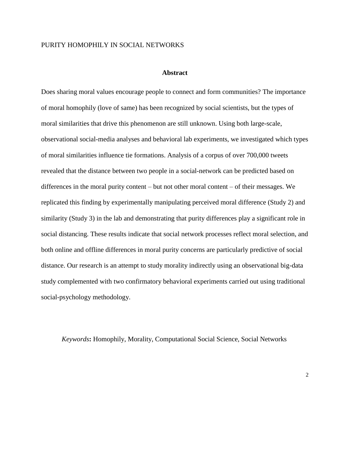#### **Abstract**

Does sharing moral values encourage people to connect and form communities? The importance of moral homophily (love of same) has been recognized by social scientists, but the types of moral similarities that drive this phenomenon are still unknown. Using both large-scale, observational social-media analyses and behavioral lab experiments, we investigated which types of moral similarities influence tie formations. Analysis of a corpus of over 700,000 tweets revealed that the distance between two people in a social-network can be predicted based on differences in the moral purity content – but not other moral content – of their messages. We replicated this finding by experimentally manipulating perceived moral difference (Study 2) and similarity (Study 3) in the lab and demonstrating that purity differences play a significant role in social distancing. These results indicate that social network processes reflect moral selection, and both online and offline differences in moral purity concerns are particularly predictive of social distance. Our research is an attempt to study morality indirectly using an observational big-data study complemented with two confirmatory behavioral experiments carried out using traditional social-psychology methodology.

*Keywords***:** Homophily, Morality, Computational Social Science, Social Networks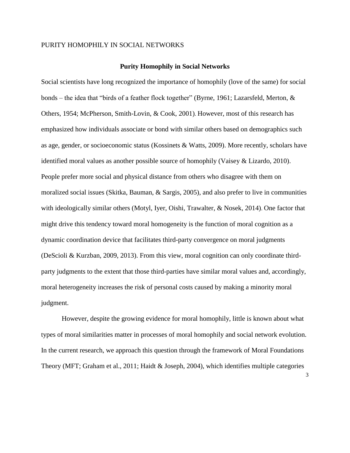## **Purity Homophily in Social Networks**

Social scientists have long recognized the importance of homophily (love of the same) for social bonds – the idea that "birds of a feather flock together" [\(Byrne, 1961; Lazarsfeld, Merton,](https://paperpile.com/c/W5N4AX/llYZS+Qgsj1+1uPNv) & [Others, 1954; McPherson, Smith-Lovin, & Cook, 2001\)](https://paperpile.com/c/W5N4AX/llYZS+Qgsj1+1uPNv). However, most of this research has emphasized how individuals associate or bond with similar others based on demographics such as age, gender, or socioeconomic status [\(Kossinets & Watts, 2009\).](https://paperpile.com/c/W5N4AX/kgT1y) More recently, scholars have identified moral values as another possible source of homophily [\(Vaisey & Lizardo, 2010\).](https://paperpile.com/c/W5N4AX/OZ4u4) People prefer more social and physical distance from others who disagree with them on moralized social issues [\(Skitka, Bauman, & Sargis, 2005\),](https://paperpile.com/c/W5N4AX/pPny2) and also prefer to live in communities with ideologically similar others [\(Motyl, Iyer, Oishi, Trawalter, & Nosek, 2014\)](https://paperpile.com/c/W5N4AX/UKyjd). One factor that might drive this tendency toward moral homogeneity is the function of moral cognition as a dynamic coordination device that facilitates third-party convergence on moral judgments [\(DeScioli & Kurzban, 2009, 2013\).](https://paperpile.com/c/W5N4AX/5B2u+enl3) From this view, moral cognition can only coordinate thirdparty judgments to the extent that those third-parties have similar moral values and, accordingly, moral heterogeneity increases the risk of personal costs caused by making a minority moral judgment.

However, despite the growing evidence for moral homophily, little is known about what types of moral similarities matter in processes of moral homophily and social network evolution. In the current research, we approach this question through the framework of Moral Foundations Theory (MFT; [Graham et al., 2011; Haidt & Joseph, 2004\),](https://paperpile.com/c/W5N4AX/SjJza+L7orh) which identifies multiple categories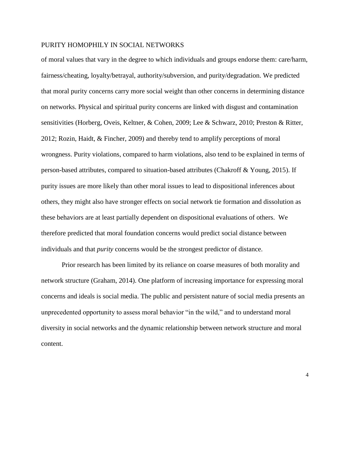of moral values that vary in the degree to which individuals and groups endorse them: care/harm, fairness/cheating, loyalty/betrayal, authority/subversion, and purity/degradation. We predicted that moral purity concerns carry more social weight than other concerns in determining distance on networks. Physical and spiritual purity concerns are linked with disgust and contamination sensitivities [\(Horberg, Oveis, Keltner, & Cohen, 2009; Lee & Schwarz, 2010; Preston & Ritter,](https://paperpile.com/c/W5N4AX/R2T0Q+miRga+VFENu+65FzE)  [2012; Rozin, Haidt, & Fincher, 2009\)](https://paperpile.com/c/W5N4AX/R2T0Q+miRga+VFENu+65FzE) and thereby tend to amplify perceptions of moral wrongness. Purity violations, compared to harm violations, also tend to be explained in terms of person-based attributes, compared to situation-based attributes [\(Chakroff & Young, 2015\).](https://paperpile.com/c/W5N4AX/796x) If purity issues are more likely than other moral issues to lead to dispositional inferences about others, they might also have stronger effects on social network tie formation and dissolution as these behaviors are at least partially dependent on dispositional evaluations of others. We therefore predicted that moral foundation concerns would predict social distance between individuals and that *purity* concerns would be the strongest predictor of distance.

Prior research has been limited by its reliance on coarse measures of both morality and network structure [\(Graham, 2014\).](https://paperpile.com/c/W5N4AX/LTu1f) One platform of increasing importance for expressing moral concerns and ideals is social media. The public and persistent nature of social media presents an unprecedented opportunity to assess moral behavior "in the wild," and to understand moral diversity in social networks and the dynamic relationship between network structure and moral content.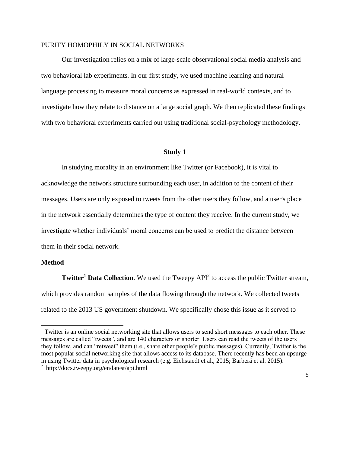Our investigation relies on a mix of large-scale observational social media analysis and two behavioral lab experiments. In our first study, we used machine learning and natural language processing to measure moral concerns as expressed in real-world contexts, and to investigate how they relate to distance on a large social graph. We then replicated these findings with two behavioral experiments carried out using traditional social-psychology methodology.

#### **Study 1**

In studying morality in an environment like Twitter (or Facebook), it is vital to acknowledge the network structure surrounding each user, in addition to the content of their messages. Users are only exposed to tweets from the other users they follow, and a user's place in the network essentially determines the type of content they receive. In the current study, we investigate whether individuals' moral concerns can be used to predict the distance between them in their social network.

#### **Method**

 $\overline{\phantom{a}}$ 

**Twitter<sup>1</sup> Data Collection**. We used the Tweepy API<sup>2</sup> to access the public Twitter stream, which provides random samples of the data flowing through the network. We collected tweets related to the 2013 US government shutdown. We specifically chose this issue as it served to

<sup>&</sup>lt;sup>1</sup> Twitter is an online social networking site that allows users to send short messages to each other. These messages are called "tweets", and are 140 characters or shorter. Users can read the tweets of the users they follow, and can "retweet" them (i.e., share other people's public messages). Currently, Twitter is the most popular social networking site that allows access to its database. There recently has been an upsurge in using Twitter data in psychological research (e.g. Eichstaedt et al., 2015; Barberá et al. 2015).

<sup>&</sup>lt;sup>2</sup> <http://docs.tweepy.org/en/latest/api.html>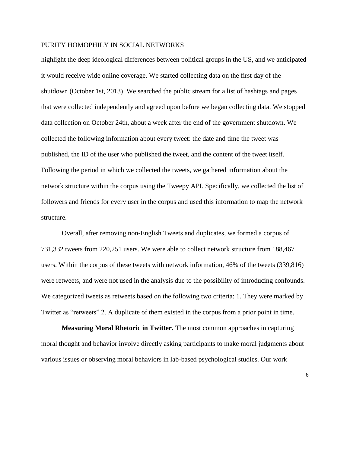highlight the deep ideological differences between political groups in the US, and we anticipated it would receive wide online coverage. We started collecting data on the first day of the shutdown (October 1st, 2013). We searched the public stream for a list of hashtags and pages that were collected independently and agreed upon before we began collecting data. We stopped data collection on October 24th, about a week after the end of the government shutdown. We collected the following information about every tweet: the date and time the tweet was published, the ID of the user who published the tweet, and the content of the tweet itself. Following the period in which we collected the tweets, we gathered information about the network structure within the corpus using the Tweepy API. Specifically, we collected the list of followers and friends for every user in the corpus and used this information to map the network structure.

Overall, after removing non-English Tweets and duplicates, we formed a corpus of 731,332 tweets from 220,251 users. We were able to collect network structure from 188,467 users. Within the corpus of these tweets with network information, 46% of the tweets (339,816) were retweets, and were not used in the analysis due to the possibility of introducing confounds. We categorized tweets as retweets based on the following two criteria: 1. They were marked by Twitter as "retweets" 2. A duplicate of them existed in the corpus from a prior point in time.

**Measuring Moral Rhetoric in Twitter.** The most common approaches in capturing moral thought and behavior involve directly asking participants to make moral judgments about various issues or observing moral behaviors in lab-based psychological studies. Our work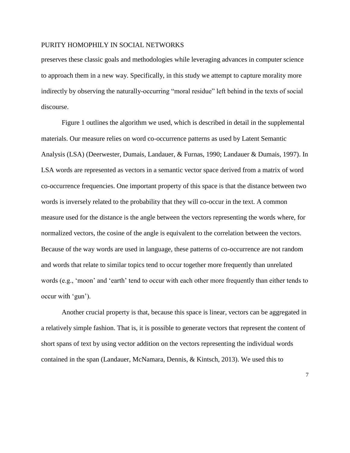preserves these classic goals and methodologies while leveraging advances in computer science to approach them in a new way. Specifically, in this study we attempt to capture morality more indirectly by observing the naturally-occurring "moral residue" left behind in the texts of social discourse.

Figure 1 outlines the algorithm we used, which is described in detail in the supplemental materials. Our measure relies on word co-occurrence patterns as used by Latent Semantic Analysis (LSA) [\(Deerwester, Dumais, Landauer, & Furnas, 1990; Landauer & Dumais, 1997\).](https://paperpile.com/c/W5N4AX/2FXyL+ibI7p) In LSA words are represented as vectors in a semantic vector space derived from a matrix of word co-occurrence frequencies. One important property of this space is that the distance between two words is inversely related to the probability that they will co-occur in the text. A common measure used for the distance is the angle between the vectors representing the words where, for normalized vectors, the cosine of the angle is equivalent to the correlation between the vectors. Because of the way words are used in language, these patterns of co-occurrence are not random and words that relate to similar topics tend to occur together more frequently than unrelated words (e.g., 'moon' and 'earth' tend to occur with each other more frequently than either tends to occur with 'gun').

Another crucial property is that, because this space is linear, vectors can be aggregated in a relatively simple fashion. That is, it is possible to generate vectors that represent the content of short spans of text by using vector addition on the vectors representing the individual words contained in the span [\(Landauer, McNamara, Dennis, & Kintsch, 2013\).](https://paperpile.com/c/W5N4AX/HIW1l) We used this to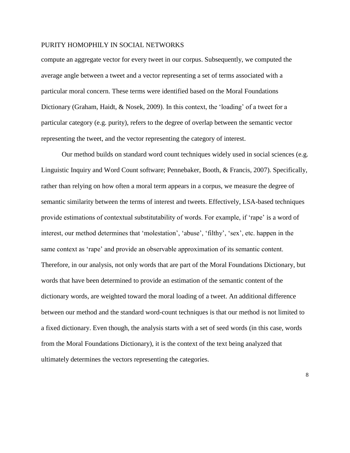compute an aggregate vector for every tweet in our corpus. Subsequently, we computed the average angle between a tweet and a vector representing a set of terms associated with a particular moral concern. These terms were identified based on the Moral Foundations Dictionary [\(Graham, Haidt, & Nosek, 2009\).](https://paperpile.com/c/W5N4AX/PQZYU) In this context, the 'loading' of a tweet for a particular category (e.g. purity), refers to the degree of overlap between the semantic vector representing the tweet, and the vector representing the category of interest.

Our method builds on standard word count techniques widely used in social sciences (e.g. Linguistic Inquiry and Word Count software; [Pennebaker, Booth, & Francis, 2007\)](https://paperpile.com/c/W5N4AX/kfVgi). Specifically, rather than relying on how often a moral term appears in a corpus, we measure the degree of semantic similarity between the terms of interest and tweets. Effectively, LSA-based techniques provide estimations of contextual substitutability of words. For example, if 'rape' is a word of interest, our method determines that 'molestation', 'abuse', 'filthy', 'sex', etc. happen in the same context as 'rape' and provide an observable approximation of its semantic content. Therefore, in our analysis, not only words that are part of the Moral Foundations Dictionary, but words that have been determined to provide an estimation of the semantic content of the dictionary words, are weighted toward the moral loading of a tweet. An additional difference between our method and the standard word-count techniques is that our method is not limited to a fixed dictionary. Even though, the analysis starts with a set of seed words (in this case, words from the Moral Foundations Dictionary), it is the context of the text being analyzed that ultimately determines the vectors representing the categories.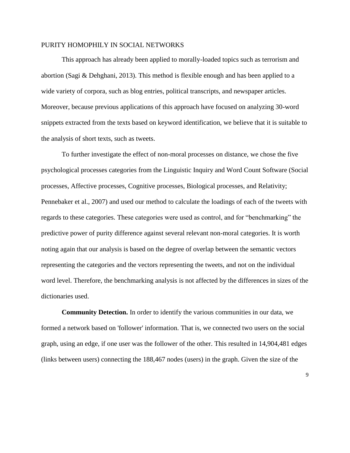This approach has already been applied to morally-loaded topics such as terrorism and abortion (Sagi & Dehghani, 2013). This method is flexible enough and has been applied to a wide variety of corpora, such as blog entries, political transcripts, and newspaper articles. Moreover, because previous applications of this approach have focused on analyzing 30-word snippets extracted from the texts based on keyword identification, we believe that it is suitable to the analysis of short texts, such as tweets.

To further investigate the effect of non-moral processes on distance, we chose the five psychological processes categories from the Linguistic Inquiry and Word Count Software (Social processes, Affective processes, Cognitive processes, Biological processes, and Relativity; [Pennebaker et al., 2007\)](https://paperpile.com/c/W5N4AX/kfVgi) and used our method to calculate the loadings of each of the tweets with regards to these categories. These categories were used as control, and for "benchmarking" the predictive power of purity difference against several relevant non-moral categories. It is worth noting again that our analysis is based on the degree of overlap between the semantic vectors representing the categories and the vectors representing the tweets, and not on the individual word level. Therefore, the benchmarking analysis is not affected by the differences in sizes of the dictionaries used.

**Community Detection.** In order to identify the various communities in our data, we formed a network based on 'follower' information. That is, we connected two users on the social graph, using an edge, if one user was the follower of the other. This resulted in 14,904,481 edges (links between users) connecting the 188,467 nodes (users) in the graph. Given the size of the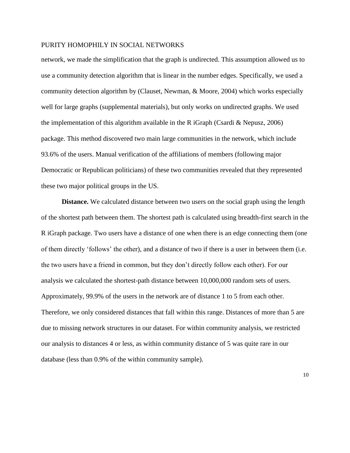network, we made the simplification that the graph is undirected. This assumption allowed us to use a community detection algorithm that is linear in the number edges. Specifically, we used a community detection algorithm by [\(Clauset, Newman, & Moore, 2004\)](https://paperpile.com/c/W5N4AX/mrZkG) which works especially well for large graphs (supplemental materials), but only works on undirected graphs. We used the implementation of this algorithm available in the R iGraph [\(Csardi & Nepusz, 2006\)](https://paperpile.com/c/W5N4AX/2Behh) package. This method discovered two main large communities in the network, which include 93.6% of the users. Manual verification of the affiliations of members (following major Democratic or Republican politicians) of these two communities revealed that they represented these two major political groups in the US.

**Distance.** We calculated distance between two users on the social graph using the length of the shortest path between them. The shortest path is calculated using breadth-first search in the R iGraph package. Two users have a distance of one when there is an edge connecting them (one of them directly 'follows' the other), and a distance of two if there is a user in between them (i.e. the two users have a friend in common, but they don't directly follow each other). For our analysis we calculated the shortest-path distance between 10,000,000 random sets of users. Approximately, 99.9% of the users in the network are of distance 1 to 5 from each other. Therefore, we only considered distances that fall within this range. Distances of more than 5 are due to missing network structures in our dataset. For within community analysis, we restricted our analysis to distances 4 or less, as within community distance of 5 was quite rare in our database (less than 0.9% of the within community sample).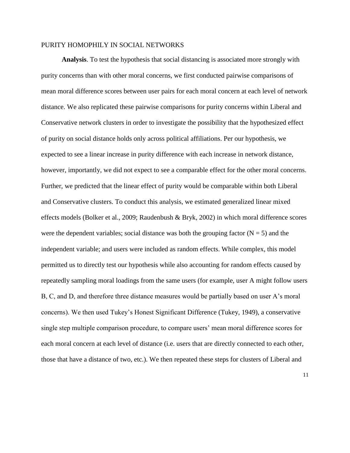**Analysis**. To test the hypothesis that social distancing is associated more strongly with purity concerns than with other moral concerns, we first conducted pairwise comparisons of mean moral difference scores between user pairs for each moral concern at each level of network distance. We also replicated these pairwise comparisons for purity concerns within Liberal and Conservative network clusters in order to investigate the possibility that the hypothesized effect of purity on social distance holds only across political affiliations. Per our hypothesis, we expected to see a linear increase in purity difference with each increase in network distance, however, importantly, we did not expect to see a comparable effect for the other moral concerns. Further, we predicted that the linear effect of purity would be comparable within both Liberal and Conservative clusters. To conduct this analysis, we estimated generalized linear mixed effects models [\(Bolker et al., 2009; Raudenbush & Bryk, 2002\)](https://paperpile.com/c/W5N4AX/MGSq+eXPK) in which moral difference scores were the dependent variables; social distance was both the grouping factor  $(N = 5)$  and the independent variable; and users were included as random effects. While complex, this model permitted us to directly test our hypothesis while also accounting for random effects caused by repeatedly sampling moral loadings from the same users (for example, user A might follow users B, C, and D, and therefore three distance measures would be partially based on user A's moral concerns). We then used Tukey's Honest Significant Difference [\(Tukey, 1949\),](https://paperpile.com/c/W5N4AX/dY1u) a conservative single step multiple comparison procedure, to compare users' mean moral difference scores for each moral concern at each level of distance (i.e. users that are directly connected to each other, those that have a distance of two, etc.). We then repeated these steps for clusters of Liberal and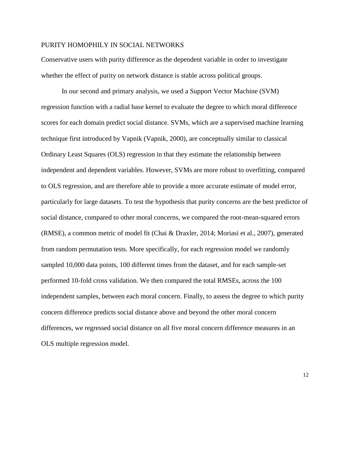Conservative users with purity difference as the dependent variable in order to investigate whether the effect of purity on network distance is stable across political groups.

In our second and primary analysis, we used a Support Vector Machine (SVM) regression function with a radial base kernel to evaluate the degree to which moral difference scores for each domain predict social distance. SVMs, which are a supervised machine learning technique first introduced by Vapnik (Vapnik, 2000), are conceptually similar to classical Ordinary Least Squares (OLS) regression in that they estimate the relationship between independent and dependent variables. However, SVMs are more robust to overfitting, compared to OLS regression, and are therefore able to provide a more accurate estimate of model error, particularly for large datasets. To test the hypothesis that purity concerns are the best predictor of social distance, compared to other moral concerns, we compared the root-mean-squared errors (RMSE), a common metric of model fit [\(Chai & Draxler, 2014; Moriasi et al., 2007\),](https://paperpile.com/c/W5N4AX/odEi+hx6s) generated from random permutation tests. More specifically, for each regression model we randomly sampled 10,000 data points, 100 different times from the dataset, and for each sample-set performed 10-fold cross validation. We then compared the total RMSEs, across the 100 independent samples, between each moral concern. Finally, to assess the degree to which purity concern difference predicts social distance above and beyond the other moral concern differences, we regressed social distance on all five moral concern difference measures in an OLS multiple regression model.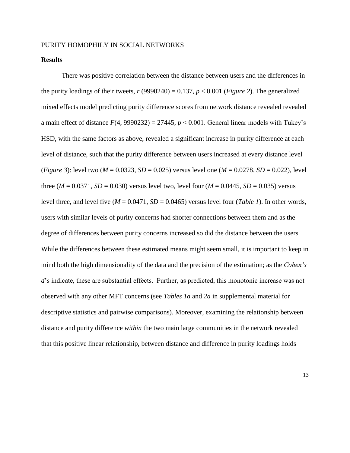# **Results**

There was positive correlation between the distance between users and the differences in the purity loadings of their tweets,  $r(9990240) = 0.137$ ,  $p < 0.001$  (*Figure 2*). The generalized mixed effects model predicting purity difference scores from network distance revealed revealed a main effect of distance  $F(4, 9990232) = 27445$ ,  $p < 0.001$ . General linear models with Tukey's HSD, with the same factors as above, revealed a significant increase in purity difference at each level of distance, such that the purity difference between users increased at every distance level (*Figure 3*): level two ( $M = 0.0323$ ,  $SD = 0.025$ ) versus level one ( $M = 0.0278$ ,  $SD = 0.022$ ), level three ( $M = 0.0371$ ,  $SD = 0.030$ ) versus level two, level four ( $M = 0.0445$ ,  $SD = 0.035$ ) versus level three, and level five  $(M = 0.0471, SD = 0.0465)$  versus level four (*Table 1*). In other words, users with similar levels of purity concerns had shorter connections between them and as the degree of differences between purity concerns increased so did the distance between the users. While the differences between these estimated means might seem small, it is important to keep in mind both the high dimensionality of the data and the precision of the estimation; as the *Cohen's* d's indicate, these are substantial effects. Further, as predicted, this monotonic increase was not observed with any other MFT concerns (see *Tables 1a* and *2a* in supplemental material for descriptive statistics and pairwise comparisons). Moreover, examining the relationship between distance and purity difference *within* the two main large communities in the network revealed that this positive linear relationship, between distance and difference in purity loadings holds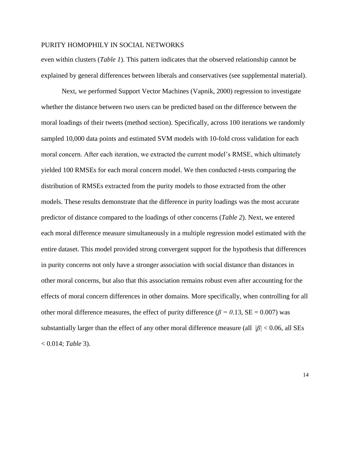even within clusters (*Table 1*). This pattern indicates that the observed relationship cannot be explained by general differences between liberals and conservatives (see supplemental material).

Next, we performed Support Vector Machines [\(Vapnik, 2000\)](https://paperpile.com/c/W5N4AX/EeQjj) regression to investigate whether the distance between two users can be predicted based on the difference between the moral loadings of their tweets (method section). Specifically, across 100 iterations we randomly sampled 10,000 data points and estimated SVM models with 10-fold cross validation for each moral concern. After each iteration, we extracted the current model's RMSE, which ultimately yielded 100 RMSEs for each moral concern model. We then conducted *t*-tests comparing the distribution of RMSEs extracted from the purity models to those extracted from the other models. These results demonstrate that the difference in purity loadings was the most accurate predictor of distance compared to the loadings of other concerns (*Table 2*). Next, we entered each moral difference measure simultaneously in a multiple regression model estimated with the entire dataset. This model provided strong convergent support for the hypothesis that differences in purity concerns not only have a stronger association with social distance than distances in other moral concerns, but also that this association remains robust even after accounting for the effects of moral concern differences in other domains. More specifically, when controlling for all other moral difference measures, the effect of purity difference ( $\beta = 0.13$ , SE = 0.007) was substantially larger than the effect of any other moral difference measure (all |*β|* < 0.06, all SEs < 0.014; *Table* 3).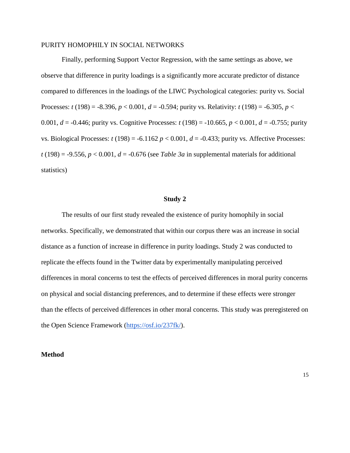Finally, performing Support Vector Regression, with the same settings as above, we observe that difference in purity loadings is a significantly more accurate predictor of distance compared to differences in the loadings of the LIWC Psychological categories: purity vs. Social Processes: *t* (198) = -8.396,  $p < 0.001$ ,  $d = -0.594$ ; purity vs. Relativity: *t* (198) = -6.305,  $p <$ 0.001,  $d = -0.446$ ; purity vs. Cognitive Processes:  $t(198) = -10.665$ ,  $p < 0.001$ ,  $d = -0.755$ ; purity vs. Biological Processes:  $t(198) = -6.1162 p < 0.001$ ,  $d = -0.433$ ; purity vs. Affective Processes:  $t(198) = -9.556$ ,  $p < 0.001$ ,  $d = -0.676$  (see *Table 3a* in supplemental materials for additional statistics)

#### **Study 2**

The results of our first study revealed the existence of purity homophily in social networks. Specifically, we demonstrated that within our corpus there was an increase in social distance as a function of increase in difference in purity loadings. Study 2 was conducted to replicate the effects found in the Twitter data by experimentally manipulating perceived differences in moral concerns to test the effects of perceived differences in moral purity concerns on physical and social distancing preferences, and to determine if these effects were stronger than the effects of perceived differences in other moral concerns. This study was preregistered on the Open Science Framework [\(https://osf.io/237fk/\)](https://osf.io/237fk/).

#### **Method**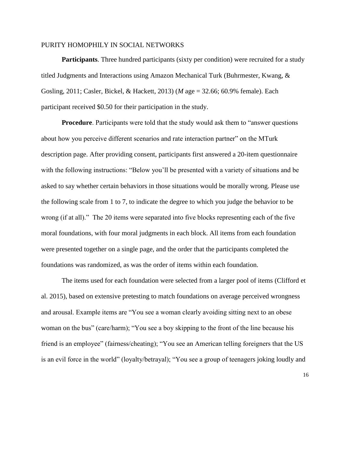**Participants**. Three hundred participants (sixty per condition) were recruited for a study titled Judgments and Interactions using Amazon Mechanical Turk [\(Buhrmester, Kwang, &](https://paperpile.com/c/W5N4AX/AIrWt+Yn9pK)  [Gosling, 2011; Casler, Bickel, & Hackett, 2013\)](https://paperpile.com/c/W5N4AX/AIrWt+Yn9pK) (*M* age = 32.66; 60.9% female). Each participant received \$0.50 for their participation in the study.

**Procedure**. Participants were told that the study would ask them to "answer questions" about how you perceive different scenarios and rate interaction partner" on the MTurk description page. After providing consent, participants first answered a 20-item questionnaire with the following instructions: "Below you'll be presented with a variety of situations and be asked to say whether certain behaviors in those situations would be morally wrong. Please use the following scale from 1 to 7, to indicate the degree to which you judge the behavior to be wrong (if at all)." The 20 items were separated into five blocks representing each of the five moral foundations, with four moral judgments in each block. All items from each foundation were presented together on a single page, and the order that the participants completed the foundations was randomized, as was the order of items within each foundation.

The items used for each foundation were selected from a larger pool of items [\(Clifford et](https://paperpile.com/c/W5N4AX/96Dn)  [al. 2015\),](https://paperpile.com/c/W5N4AX/96Dn) based on extensive pretesting to match foundations on average perceived wrongness and arousal. Example items are "You see a woman clearly avoiding sitting next to an obese woman on the bus" (care/harm); "You see a boy skipping to the front of the line because his friend is an employee" (fairness/cheating); "You see an American telling foreigners that the US is an evil force in the world" (loyalty/betrayal); "You see a group of teenagers joking loudly and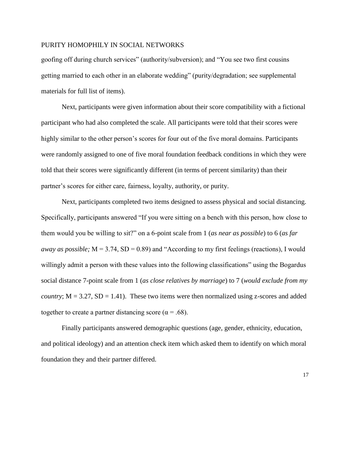goofing off during church services" (authority/subversion); and "You see two first cousins getting married to each other in an elaborate wedding" (purity/degradation; see supplemental materials for full list of items).

Next, participants were given information about their score compatibility with a fictional participant who had also completed the scale. All participants were told that their scores were highly similar to the other person's scores for four out of the five moral domains. Participants were randomly assigned to one of five moral foundation feedback conditions in which they were told that their scores were significantly different (in terms of percent similarity) than their partner's scores for either care, fairness, loyalty, authority, or purity.

Next, participants completed two items designed to assess physical and social distancing. Specifically, participants answered "If you were sitting on a bench with this person, how close to them would you be willing to sit?" on a 6-point scale from 1 (*as near as possible*) to 6 (*as far away as possible;*  $M = 3.74$ ,  $SD = 0.89$ ) and "According to my first feelings (reactions), I would willingly admit a person with these values into the following classifications" using the Bogardus social distance 7-point scale from 1 (*as close relatives by marriage*) to 7 (*would exclude from my country*;  $M = 3.27$ ,  $SD = 1.41$ . These two items were then normalized using z-scores and added together to create a partner distancing score ( $\alpha$  = .68).

Finally participants answered demographic questions (age, gender, ethnicity, education, and political ideology) and an attention check item which asked them to identify on which moral foundation they and their partner differed.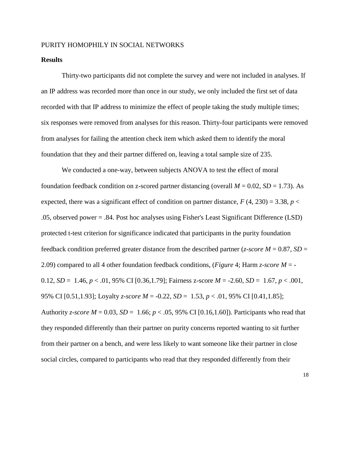## **Results**

Thirty-two participants did not complete the survey and were not included in analyses. If an IP address was recorded more than once in our study, we only included the first set of data recorded with that IP address to minimize the effect of people taking the study multiple times; six responses were removed from analyses for this reason. Thirty-four participants were removed from analyses for failing the attention check item which asked them to identify the moral foundation that they and their partner differed on, leaving a total sample size of 235.

We conducted a one-way, between subjects ANOVA to test the effect of moral foundation feedback condition on z-scored partner distancing (overall  $M = 0.02$ ,  $SD = 1.73$ ). As expected, there was a significant effect of condition on partner distance,  $F(4, 230) = 3.38$ ,  $p <$ .05, observed power = .84. Post hoc analyses using Fisher's Least Significant Difference (LSD) protected t-test criterion for significance indicated that participants in the purity foundation feedback condition preferred greater distance from the described partner (*z-score M* = 0.87, *SD* = 2.09) compared to all 4 other foundation feedback conditions, (*Figure* 4; Harm *z-score M* = - 0.12,  $SD = 1.46$ ,  $p < .01$ , 95% CI [0.36,1.79]; Fairness z-score  $M = -2.60$ ,  $SD = 1.67$ ,  $p < .001$ , 95% CI [0.51,1.93]; Loyalty *z-score M* = -0.22, *SD* = 1.53, *p* < .01, 95% CI [0.41,1.85]; Authority *z*-score  $M = 0.03$ ,  $SD = 1.66$ ;  $p < .05$ , 95% CI [0.16,1.60]). Participants who read that they responded differently than their partner on purity concerns reported wanting to sit further from their partner on a bench, and were less likely to want someone like their partner in close social circles, compared to participants who read that they responded differently from their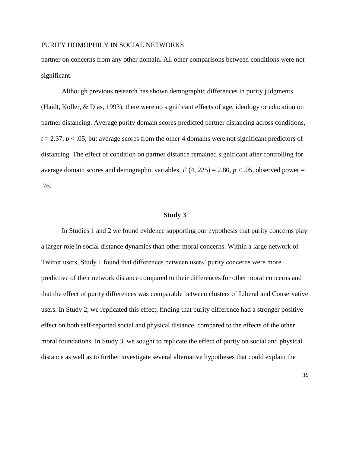partner on concerns from any other domain. All other comparisons between conditions were not significant.

Although previous research has shown demographic differences in purity judgments [\(Haidt, Koller, & Dias, 1993\),](https://paperpile.com/c/W5N4AX/1Vwmw) there were no significant effects of age, ideology or education on partner distancing. Average purity domain scores predicted partner distancing across conditions,  $t = 2.37$ ,  $p < .05$ , but average scores from the other 4 domains were not significant predictors of distancing. The effect of condition on partner distance remained significant after controlling for average domain scores and demographic variables,  $F(4, 225) = 2.80, p < .05$ , observed power = .76.

#### **Study 3**

In Studies 1 and 2 we found evidence supporting our hypothesis that purity concerns play a larger role in social distance dynamics than other moral concerns. Within a large network of Twitter users, Study 1 found that differences between users' purity concerns were more predictive of their network distance compared to their differences for other moral concerns and that the effect of purity differences was comparable between clusters of Liberal and Conservative users. In Study 2, we replicated this effect, finding that purity difference had a stronger positive effect on both self-reported social and physical distance, compared to the effects of the other moral foundations. In Study 3, we sought to replicate the effect of purity on social and physical distance as well as to further investigate several alternative hypotheses that could explain the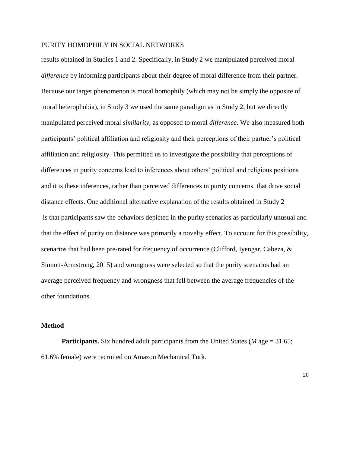results obtained in Studies 1 and 2. Specifically, in Study 2 we manipulated perceived moral *difference* by informing participants about their degree of moral difference from their partner. Because our target phenomenon is moral homophily (which may not be simply the opposite of moral heterophobia), in Study 3 we used the same paradigm as in Study 2, but we directly manipulated perceived moral *similarity*, as opposed to moral *difference*. We also measured both participants' political affiliation and religiosity and their perceptions of their partner's political affiliation and religiosity. This permitted us to investigate the possibility that perceptions of differences in purity concerns lead to inferences about others' political and religious positions and it is these inferences, rather than perceived differences in purity concerns, that drive social distance effects. One additional alternative explanation of the results obtained in Study 2 is that participants saw the behaviors depicted in the purity scenarios as particularly unusual and that the effect of purity on distance was primarily a novelty effect. To account for this possibility, scenarios that had been pre-rated for frequency of occurrence [\(Clifford, Iyengar, Cabeza, &](https://paperpile.com/c/W5N4AX/96Dn)  [Sinnott-Armstrong, 2015\)](https://paperpile.com/c/W5N4AX/96Dn) and wrongness were selected so that the purity scenarios had an average perceived frequency and wrongness that fell between the average frequencies of the other foundations.

# **Method**

**Participants.** Six hundred adult participants from the United States (*M* age = 31.65; 61.6% female) were recruited on Amazon Mechanical Turk.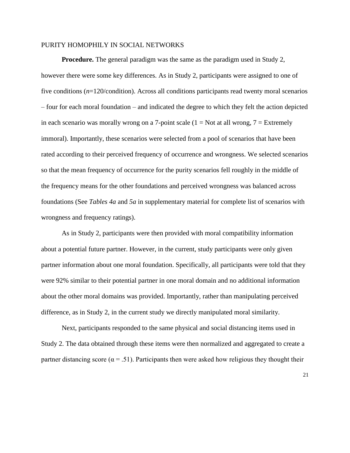**Procedure.** The general paradigm was the same as the paradigm used in Study 2, however there were some key differences. As in Study 2, participants were assigned to one of five conditions (*n*=120/condition). Across all conditions participants read twenty moral scenarios – four for each moral foundation – and indicated the degree to which they felt the action depicted in each scenario was morally wrong on a 7-point scale  $(1 = Not at all wrong, 7 = Extremely)$ immoral). Importantly, these scenarios were selected from a pool of scenarios that have been rated according to their perceived frequency of occurrence and wrongness. We selected scenarios so that the mean frequency of occurrence for the purity scenarios fell roughly in the middle of the frequency means for the other foundations and perceived wrongness was balanced across foundations (See *Tables 4a* and *5a* in supplementary material for complete list of scenarios with wrongness and frequency ratings).

As in Study 2, participants were then provided with moral compatibility information about a potential future partner. However, in the current, study participants were only given partner information about one moral foundation. Specifically, all participants were told that they were 92% similar to their potential partner in one moral domain and no additional information about the other moral domains was provided. Importantly, rather than manipulating perceived difference, as in Study 2, in the current study we directly manipulated moral similarity.

Next, participants responded to the same physical and social distancing items used in Study 2. The data obtained through these items were then normalized and aggregated to create a partner distancing score ( $\alpha$  = .51). Participants then were asked how religious they thought their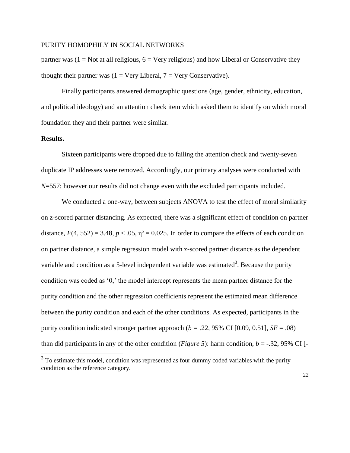partner was  $(1 = Not at all religious, 6 = Very religious)$  and how Liberal or Conservative they thought their partner was  $(1 = \text{Very Liberal}, 7 = \text{Very Conservation})$ .

Finally participants answered demographic questions (age, gender, ethnicity, education, and political ideology) and an attention check item which asked them to identify on which moral foundation they and their partner were similar.

# **Results.**

 $\overline{\phantom{a}}$ 

Sixteen participants were dropped due to failing the attention check and twenty-seven duplicate IP addresses were removed. Accordingly, our primary analyses were conducted with *N*=557; however our results did not change even with the excluded participants included.

We conducted a one-way, between subjects ANOVA to test the effect of moral similarity on z-scored partner distancing. As expected, there was a significant effect of condition on partner distance,  $F(4, 552) = 3.48$ ,  $p < .05$ ,  $\eta^2 = 0.025$ . In order to compare the effects of each condition on partner distance, a simple regression model with z-scored partner distance as the dependent variable and condition as a 5-level independent variable was estimated<sup>3</sup>. Because the purity condition was coded as '0,' the model intercept represents the mean partner distance for the purity condition and the other regression coefficients represent the estimated mean difference between the purity condition and each of the other conditions. As expected, participants in the purity condition indicated stronger partner approach ( $b = .22, 95\%$  CI [0.09, 0.51], *SE* = .08) than did participants in any of the other condition (*Figure 5*): harm condition,  $b = -.32, 95\%$  CI [-

 $3<sup>3</sup>$  To estimate this model, condition was represented as four dummy coded variables with the purity condition as the reference category.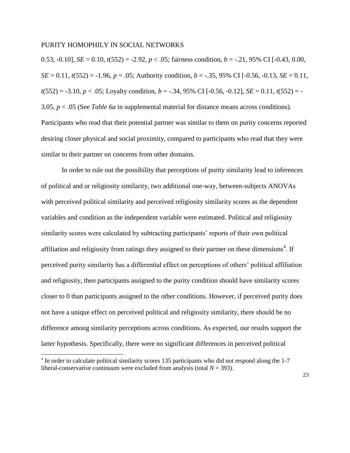0.53, -0.10], *SE* = 0.10, *t*(552) = -2.92, *p* < .05; fairness condition, *b* = -.21, 95% CI [-0.43, 0.00,  $SE = 0.11$ ,  $t(552) = -1.96$ ,  $p = .05$ ; Authority condition,  $b = -.35$ , 95% CI [-0.56, -0.13, *SE* = 0.11,  $t(552) = -3.10, p < .05$ ; Loyalty condition,  $b = -.34, 95\%$  CI [-0.56, -0.12], *SE* = 0.11,  $t(552) = -$ 3.05, *p* < .05 (See *Table 6a* in supplemental material for distance means across conditions). Participants who read that their potential partner was similar to them on purity concerns reported desiring closer physical and social proximity, compared to participants who read that they were similar to their partner on concerns from other domains.

In order to rule out the possibility that perceptions of purity similarity lead to inferences of political and or religiosity similarity, two additional one-way, between-subjects ANOVAs with perceived political similarity and perceived religiosity similarity scores as the dependent variables and condition as the independent variable were estimated. Political and religiosity similarity scores were calculated by subtracting participants' reports of their own political affiliation and religiosity from ratings they assigned to their partner on these dimensions<sup>4</sup>. If perceived purity similarity has a differential effect on perceptions of others' political affiliation and religiosity, then participants assigned to the purity condition should have similarity scores closer to 0 than participants assigned to the other conditions. However, if perceived purity does not have a unique effect on perceived political and religiosity similarity, there should be no difference among similarity perceptions across conditions. As expected, our results support the latter hypothesis. Specifically, there were no significant differences in perceived political

 $\overline{\phantom{a}}$ 

<sup>&</sup>lt;sup>4</sup> In order to calculate political similarity scores 135 participants who did not respond along the 1-7 liberal-conservative continuum were excluded from analysis (total  $N = 393$ ).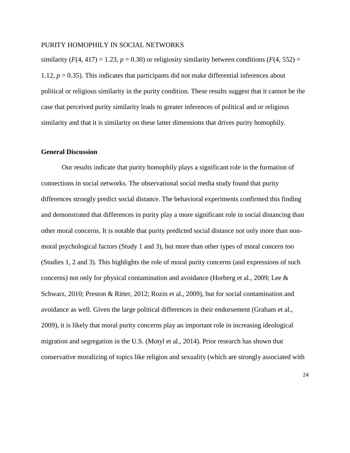similarity  $(F(4, 417) = 1.23, p = 0.30)$  or religiosity similarity between conditions  $(F(4, 552)) =$ 1.12,  $p = 0.35$ ). This indicates that participants did not make differential inferences about political or religious similarity in the purity condition. These results suggest that it cannot be the case that perceived purity similarity leads to greater inferences of political and or religious similarity and that it is similarity on these latter dimensions that drives purity homophily.

#### **General Discussion**

Our results indicate that purity homophily plays a significant role in the formation of connections in social networks. The observational social media study found that purity differences strongly predict social distance. The behavioral experiments confirmed this finding and demonstrated that differences in purity play a more significant role in social distancing than other moral concerns. It is notable that purity predicted social distance not only more than nonmoral psychological factors (Study 1 and 3), but more than other types of moral concern too (Studies 1, 2 and 3). This highlights the role of moral purity concerns (and expressions of such concerns) not only for physical contamination and avoidance [\(Horberg et al., 2009; Lee &](https://paperpile.com/c/W5N4AX/R2T0Q+miRga+VFENu+65FzE)  [Schwarz, 2010; Preston & Ritter, 2012; Rozin et al., 2009\),](https://paperpile.com/c/W5N4AX/R2T0Q+miRga+VFENu+65FzE) but for social contamination and avoidance as well. Given the large political differences in their endorsement [\(Graham et al.,](https://paperpile.com/c/W5N4AX/PQZYU)  [2009\),](https://paperpile.com/c/W5N4AX/PQZYU) it is likely that moral purity concerns play an important role in increasing ideological migration and segregation in the U.S. [\(Motyl et al., 2014\).](https://paperpile.com/c/W5N4AX/UKyjd) Prior research has shown that conservative moralizing of topics like religion and sexuality (which are strongly associated with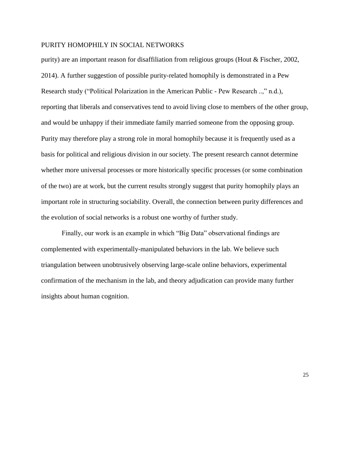purity) are an important reason for disaffiliation from religious groups [\(Hout & Fischer, 2002,](https://paperpile.com/c/W5N4AX/HtOiU+hSm8o)  [2014\).](https://paperpile.com/c/W5N4AX/HtOiU+hSm8o) A further suggestion of possible purity-related homophily is demonstrated in a Pew Research study [\("Political Polarization in the American Public -](https://paperpile.com/c/W5N4AX/LwUpg) Pew Research ..," n.d.), reporting that liberals and conservatives tend to avoid living close to members of the other group, and would be unhappy if their immediate family married someone from the opposing group. Purity may therefore play a strong role in moral homophily because it is frequently used as a basis for political and religious division in our society. The present research cannot determine whether more universal processes or more historically specific processes (or some combination of the two) are at work, but the current results strongly suggest that purity homophily plays an important role in structuring sociability. Overall, the connection between purity differences and the evolution of social networks is a robust one worthy of further study.

Finally, our work is an example in which "Big Data" observational findings are complemented with experimentally-manipulated behaviors in the lab. We believe such triangulation between unobtrusively observing large-scale online behaviors, experimental confirmation of the mechanism in the lab, and theory adjudication can provide many further insights about human cognition.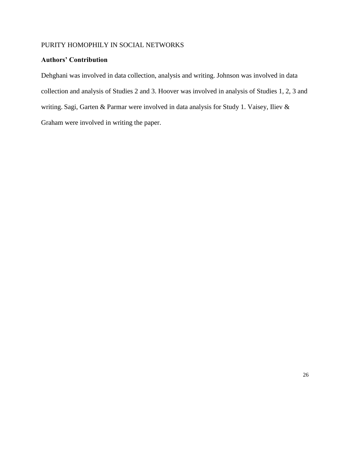# **Authors' Contribution**

Dehghani was involved in data collection, analysis and writing. Johnson was involved in data collection and analysis of Studies 2 and 3. Hoover was involved in analysis of Studies 1, 2, 3 and writing. Sagi, Garten & Parmar were involved in data analysis for Study 1. Vaisey, Iliev & Graham were involved in writing the paper.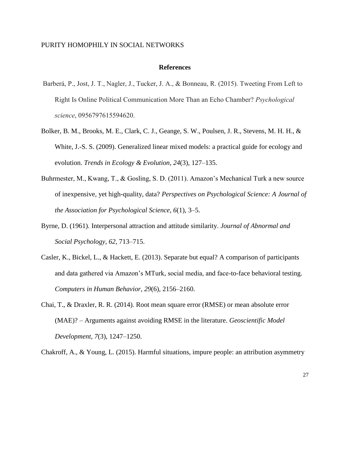#### **References**

- [Barberá, P., Jost, J. T., Nagler, J., Tucker, J. A., & Bonneau, R. \(2015\). Tweeting From Left to](http://paperpile.com/b/W5N4AX/eXPK)  [Right Is Online Political Communication More Than an Echo Chamber?](http://paperpile.com/b/W5N4AX/eXPK) *Psychological science*, [0956797615594620.](http://paperpile.com/b/W5N4AX/eXPK)
- [Bolker, B. M., Brooks, M. E., Clark, C. J., Geange, S. W., Poulsen, J. R., Stevens, M. H. H., &](http://paperpile.com/b/W5N4AX/eXPK)  [White, J.-S. S. \(2009\). Generalized linear mixed models: a practical guide for ecology and](http://paperpile.com/b/W5N4AX/eXPK)  [evolution.](http://paperpile.com/b/W5N4AX/eXPK) *[Trends in Ecology & Evolution](http://paperpile.com/b/W5N4AX/eXPK)*[,](http://paperpile.com/b/W5N4AX/eXPK) *[24](http://paperpile.com/b/W5N4AX/eXPK)*[\(3\), 127–135.](http://paperpile.com/b/W5N4AX/eXPK)
- [Buhrmester, M., Kwang, T., & Gosling, S. D. \(2011\). Amazon's Mechanical Turk a new source](http://paperpile.com/b/W5N4AX/AIrWt)  [of inexpensive, yet high-quality, data?](http://paperpile.com/b/W5N4AX/AIrWt) *[Perspectives on Psychological Science: A Journal of](http://paperpile.com/b/W5N4AX/AIrWt)  [the Association for Psychological Science](http://paperpile.com/b/W5N4AX/AIrWt)*[,](http://paperpile.com/b/W5N4AX/AIrWt) *[6](http://paperpile.com/b/W5N4AX/AIrWt)*[\(1\), 3–5.](http://paperpile.com/b/W5N4AX/AIrWt)
- [Byrne, D. \(1961\). Interpersonal attraction and attitude similarity.](http://paperpile.com/b/W5N4AX/Qgsj1) *[Journal of Abnormal and](http://paperpile.com/b/W5N4AX/Qgsj1)  [Social Psychology](http://paperpile.com/b/W5N4AX/Qgsj1)*[,](http://paperpile.com/b/W5N4AX/Qgsj1) *[62](http://paperpile.com/b/W5N4AX/Qgsj1)*[, 713–715.](http://paperpile.com/b/W5N4AX/Qgsj1)
- [Casler, K., Bickel, L., & Hackett, E. \(2013\). Separate but equal? A comparison of participants](http://paperpile.com/b/W5N4AX/Yn9pK)  [and data gathered via Amazon's MTurk, social media, and face-to-face behavioral testing.](http://paperpile.com/b/W5N4AX/Yn9pK)  *[Computers in Human Behavior](http://paperpile.com/b/W5N4AX/Yn9pK)*[,](http://paperpile.com/b/W5N4AX/Yn9pK) *[29](http://paperpile.com/b/W5N4AX/Yn9pK)*[\(6\), 2156–2160.](http://paperpile.com/b/W5N4AX/Yn9pK)
- Chai, T., & Draxler, R. R. (2014). [Root mean square error \(RMSE\) or mean absolute error](http://paperpile.com/b/W5N4AX/hx6s)  (MAE)? – [Arguments against avoiding RMSE in the literature.](http://paperpile.com/b/W5N4AX/hx6s) *[Geoscientific Model](http://paperpile.com/b/W5N4AX/hx6s)  [Development](http://paperpile.com/b/W5N4AX/hx6s)*[,](http://paperpile.com/b/W5N4AX/hx6s) *[7](http://paperpile.com/b/W5N4AX/hx6s)*[\(3\), 1247–1250.](http://paperpile.com/b/W5N4AX/hx6s)

[Chakroff, A., & Young, L. \(2015\). Harmful situations, impure people: an attribution asymmetry](http://paperpile.com/b/W5N4AX/796x)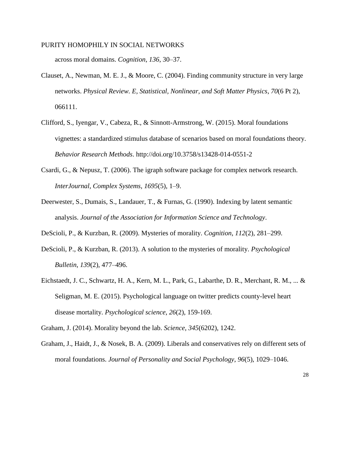[across moral domains.](http://paperpile.com/b/W5N4AX/796x) *[Cognition](http://paperpile.com/b/W5N4AX/796x)*[,](http://paperpile.com/b/W5N4AX/796x) *[136](http://paperpile.com/b/W5N4AX/796x)*[, 30–37.](http://paperpile.com/b/W5N4AX/796x)

- [Clauset, A., Newman, M. E. J., & Moore, C. \(2004\). Finding community structure in very large](http://paperpile.com/b/W5N4AX/mrZkG)  [networks.](http://paperpile.com/b/W5N4AX/mrZkG) *[Physical Review. E, Statistical, Nonlinear, and Soft Matter Physics](http://paperpile.com/b/W5N4AX/mrZkG)*[,](http://paperpile.com/b/W5N4AX/mrZkG) *[70](http://paperpile.com/b/W5N4AX/mrZkG)*(6 [Pt 2\),](http://paperpile.com/b/W5N4AX/mrZkG)  [066111.](http://paperpile.com/b/W5N4AX/mrZkG)
- [Clifford, S., Iyengar, V., Cabeza, R., & Sinnott-Armstrong, W. \(2015\). Moral foundations](http://paperpile.com/b/W5N4AX/96Dn)  [vignettes: a standardized stimulus database of scenarios based on moral foundations theory.](http://paperpile.com/b/W5N4AX/96Dn)  *[Behavior Research Methods](http://paperpile.com/b/W5N4AX/96Dn)*[. http://doi.org/](http://paperpile.com/b/W5N4AX/96Dn)[10.3758/s13428-014-0551-2](http://dx.doi.org/10.3758/s13428-014-0551-2)
- [Csardi, G., & Nepusz, T. \(2006\). The igraph software package for complex network research.](http://paperpile.com/b/W5N4AX/2Behh)  *[InterJournal, Complex Systems](http://paperpile.com/b/W5N4AX/2Behh)*[,](http://paperpile.com/b/W5N4AX/2Behh) *[1695](http://paperpile.com/b/W5N4AX/2Behh)*[\(5\), 1–9.](http://paperpile.com/b/W5N4AX/2Behh)
- [Deerwester, S., Dumais, S., Landauer, T., & Furnas, G. \(1990\). Indexing by latent semantic](http://paperpile.com/b/W5N4AX/2FXyL)  [analysis.](http://paperpile.com/b/W5N4AX/2FXyL) *[Journal](http://paperpile.com/b/W5N4AX/2FXyL) [of the Association for Information Science and Technology](http://paperpile.com/b/W5N4AX/2FXyL)*[.](http://paperpile.com/b/W5N4AX/2FXyL)
- [DeScioli, P., & Kurzban, R. \(2009\). Mysteries of morality.](http://paperpile.com/b/W5N4AX/5B2u) *[Cognition](http://paperpile.com/b/W5N4AX/5B2u)*[,](http://paperpile.com/b/W5N4AX/5B2u) *[112](http://paperpile.com/b/W5N4AX/5B2u)*[\(2\), 281–299.](http://paperpile.com/b/W5N4AX/5B2u)
- [DeScioli, P., & Kurzban, R. \(2013\). A solution to the mysteries of morality.](http://paperpile.com/b/W5N4AX/enl3) *[Psychological](http://paperpile.com/b/W5N4AX/enl3)  [Bulletin](http://paperpile.com/b/W5N4AX/enl3)*[,](http://paperpile.com/b/W5N4AX/enl3) *[139](http://paperpile.com/b/W5N4AX/enl3)*[\(2\), 477–496.](http://paperpile.com/b/W5N4AX/enl3)
- Eichstaedt, J. C., Schwartz, H. A., Kern, M. L., Park, G., Labarthe, D. R., Merchant, R. M., ... & Seligman, M. E. (2015). Psychological language on twitter predicts county-level heart disease mortality. *Psychological science*, *26*(2), 159-169.
- [Graham, J. \(2014\). Morality beyond the lab.](http://paperpile.com/b/W5N4AX/LTu1f) *[Science](http://paperpile.com/b/W5N4AX/LTu1f)*[,](http://paperpile.com/b/W5N4AX/LTu1f) *[345](http://paperpile.com/b/W5N4AX/LTu1f)*[\(6202\), 1242.](http://paperpile.com/b/W5N4AX/LTu1f)
- [Graham, J., Haidt, J., & Nosek, B. A. \(2009\). Liberals and conservatives rely on different sets of](http://paperpile.com/b/W5N4AX/PQZYU)  [moral foundations.](http://paperpile.com/b/W5N4AX/PQZYU) *[Journal of Personality and Social Psychology](http://paperpile.com/b/W5N4AX/PQZYU)*[,](http://paperpile.com/b/W5N4AX/PQZYU) *[96](http://paperpile.com/b/W5N4AX/PQZYU)*[\(5\), 1029–1046.](http://paperpile.com/b/W5N4AX/PQZYU)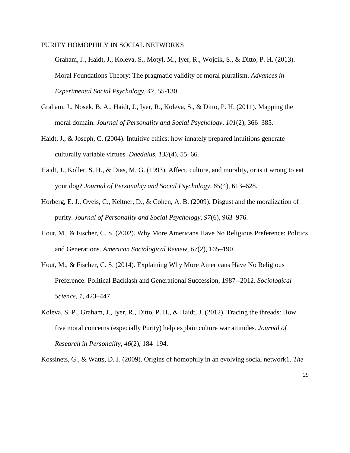Graham, J., Haidt, J., Koleva, S., Motyl, M., Iyer, R., Wojcik, S., & Ditto, P. H. (2013). Moral Foundations Theory: The pragmatic validity of moral pluralism. *Advances in Experimental Social Psychology, 47,* 55-130.

- [Graham, J., Nosek, B. A., Haidt, J., Iyer, R., Koleva, S., & Ditto, P. H. \(2011\). Mapping the](http://paperpile.com/b/W5N4AX/SjJza)  [moral domain.](http://paperpile.com/b/W5N4AX/SjJza) *[Journal of Personality and Social Psychology](http://paperpile.com/b/W5N4AX/SjJza)*[,](http://paperpile.com/b/W5N4AX/SjJza) *[101](http://paperpile.com/b/W5N4AX/SjJza)*[\(2\), 366–385.](http://paperpile.com/b/W5N4AX/SjJza)
- [Haidt, J., & Joseph, C. \(2004\). Intuitive ethics: how innately prepared intuitions generate](http://paperpile.com/b/W5N4AX/L7orh)  [culturally variable virtues.](http://paperpile.com/b/W5N4AX/L7orh) *[Daedalus](http://paperpile.com/b/W5N4AX/L7orh)*[,](http://paperpile.com/b/W5N4AX/L7orh) *[133](http://paperpile.com/b/W5N4AX/L7orh)*[\(4\), 55–66.](http://paperpile.com/b/W5N4AX/L7orh)
- [Haidt, J., Koller, S. H., & Dias, M. G. \(1993\). Affect, culture, and morality, or is it wrong to eat](http://paperpile.com/b/W5N4AX/1Vwmw)  [your dog?](http://paperpile.com/b/W5N4AX/1Vwmw) *[Journal of Personality and Social Psychology](http://paperpile.com/b/W5N4AX/1Vwmw)*[,](http://paperpile.com/b/W5N4AX/1Vwmw) *[65](http://paperpile.com/b/W5N4AX/1Vwmw)*[\(4\), 613–628.](http://paperpile.com/b/W5N4AX/1Vwmw)
- [Horberg, E. J., Oveis, C., Keltner, D., & Cohen, A. B. \(2009\). Disgust and the moralization of](http://paperpile.com/b/W5N4AX/65FzE)  [purity.](http://paperpile.com/b/W5N4AX/65FzE) *Journal of Personality [and Social Psychology](http://paperpile.com/b/W5N4AX/65FzE)*[,](http://paperpile.com/b/W5N4AX/65FzE) *[97](http://paperpile.com/b/W5N4AX/65FzE)*[\(6\), 963–976.](http://paperpile.com/b/W5N4AX/65FzE)
- [Hout, M., & Fischer, C. S. \(2002\). Why More Americans Have No Religious Preference: Politics](http://paperpile.com/b/W5N4AX/HtOiU)  [and Generations.](http://paperpile.com/b/W5N4AX/HtOiU) *[American Sociological Review](http://paperpile.com/b/W5N4AX/HtOiU)*[,](http://paperpile.com/b/W5N4AX/HtOiU) *[67](http://paperpile.com/b/W5N4AX/HtOiU)*[\(2\), 165–190.](http://paperpile.com/b/W5N4AX/HtOiU)
- [Hout, M., & Fischer, C. S. \(2014\). Explaining Why More Americans Have No Religious](http://paperpile.com/b/W5N4AX/hSm8o)  [Preference: Political Backlash and Generational Succession, 1987--2012.](http://paperpile.com/b/W5N4AX/hSm8o) *[Sociological](http://paperpile.com/b/W5N4AX/hSm8o)  [Science](http://paperpile.com/b/W5N4AX/hSm8o)*[,](http://paperpile.com/b/W5N4AX/hSm8o) *[1](http://paperpile.com/b/W5N4AX/hSm8o)*[, 423–447.](http://paperpile.com/b/W5N4AX/hSm8o)
- [Koleva, S. P., Graham, J., Iyer, R., Ditto, P. H., & Haidt, J. \(2012\). Tracing the threads: How](http://paperpile.com/b/W5N4AX/Z5CAE)  [five moral concerns \(especially Purity\) help explain culture war attitudes.](http://paperpile.com/b/W5N4AX/Z5CAE) *[Journal of](http://paperpile.com/b/W5N4AX/Z5CAE)  [Research in Personality](http://paperpile.com/b/W5N4AX/Z5CAE)*[,](http://paperpile.com/b/W5N4AX/Z5CAE) *[46](http://paperpile.com/b/W5N4AX/Z5CAE)*[\(2\), 184–194.](http://paperpile.com/b/W5N4AX/Z5CAE)

[Kossinets, G., & Watts, D. J. \(2009\). Origins of homophily in an evolving social network1.](http://paperpile.com/b/W5N4AX/kgT1y) *[The](http://paperpile.com/b/W5N4AX/kgT1y)*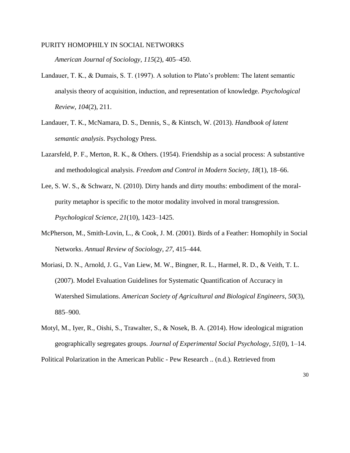*[American Journal of Sociology](http://paperpile.com/b/W5N4AX/kgT1y)*[,](http://paperpile.com/b/W5N4AX/kgT1y) *[115](http://paperpile.com/b/W5N4AX/kgT1y)*[\(2\), 405–450.](http://paperpile.com/b/W5N4AX/kgT1y)

- [Landauer, T. K., & Dumais, S. T. \(1997\). A solution to Plato's problem: The latent semantic](http://paperpile.com/b/W5N4AX/ibI7p)  [analysis theory of acquisition, induction, and representation of knowledge.](http://paperpile.com/b/W5N4AX/ibI7p) *[Psychological](http://paperpile.com/b/W5N4AX/ibI7p)  [Review](http://paperpile.com/b/W5N4AX/ibI7p)*[,](http://paperpile.com/b/W5N4AX/ibI7p) *[104](http://paperpile.com/b/W5N4AX/ibI7p)*[\(2\), 211.](http://paperpile.com/b/W5N4AX/ibI7p)
- [Landauer, T. K., McNamara, D. S., Dennis, S., & Kintsch, W. \(2013\).](http://paperpile.com/b/W5N4AX/HIW1l) *[Handbook of latent](http://paperpile.com/b/W5N4AX/HIW1l)  [semantic analysis](http://paperpile.com/b/W5N4AX/HIW1l)*[. Psychology Press.](http://paperpile.com/b/W5N4AX/HIW1l)
- [Lazarsfeld, P. F., Merton, R. K., & Others. \(1954\). Friendship as a social process: A substantive](http://paperpile.com/b/W5N4AX/llYZS)  [and methodological analysis.](http://paperpile.com/b/W5N4AX/llYZS) *[Freedom and Control in](http://paperpile.com/b/W5N4AX/llYZS) Modern Society*[,](http://paperpile.com/b/W5N4AX/llYZS) *[18](http://paperpile.com/b/W5N4AX/llYZS)*[\(1\), 18–66.](http://paperpile.com/b/W5N4AX/llYZS)
- [Lee, S. W. S., & Schwarz, N. \(2010\). Dirty hands and dirty mouths: embodiment of the moral](http://paperpile.com/b/W5N4AX/miRga)[purity metaphor is specific to the motor modality involved in moral transgression.](http://paperpile.com/b/W5N4AX/miRga)  *[Psychological Science](http://paperpile.com/b/W5N4AX/miRga)*[,](http://paperpile.com/b/W5N4AX/miRga) *[21](http://paperpile.com/b/W5N4AX/miRga)*[\(10\), 1423–1425.](http://paperpile.com/b/W5N4AX/miRga)
- [McPherson, M., Smith-Lovin, L., & Cook, J. M. \(2001\). Birds of a Feather: Homophily in Social](http://paperpile.com/b/W5N4AX/1uPNv)  [Networks.](http://paperpile.com/b/W5N4AX/1uPNv) *[Annual Review of Sociology](http://paperpile.com/b/W5N4AX/1uPNv)*[,](http://paperpile.com/b/W5N4AX/1uPNv) *[27](http://paperpile.com/b/W5N4AX/1uPNv)*[, 415–444.](http://paperpile.com/b/W5N4AX/1uPNv)
- [Moriasi, D. N., Arnold, J. G., Van Liew, M. W., Bingner, R. L., Harmel, R. D., & Veith, T. L.](http://paperpile.com/b/W5N4AX/odEi)  [\(2007\). Model Evaluation Guidelines for Systematic Quantification of Accuracy in](http://paperpile.com/b/W5N4AX/odEi)  [Watershed Simulations.](http://paperpile.com/b/W5N4AX/odEi) *[American Society of Agricultural and Biological Engineers](http://paperpile.com/b/W5N4AX/odEi)*[,](http://paperpile.com/b/W5N4AX/odEi) *[50](http://paperpile.com/b/W5N4AX/odEi)*[\(3\),](http://paperpile.com/b/W5N4AX/odEi)  [885–900.](http://paperpile.com/b/W5N4AX/odEi)
- [Motyl, M., Iyer, R., Oishi, S., Trawalter, S., & Nosek, B. A. \(2014\). How ideological migration](http://paperpile.com/b/W5N4AX/UKyjd)  [geographically segregates groups.](http://paperpile.com/b/W5N4AX/UKyjd) *[Journal of Experimental Social Psychology](http://paperpile.com/b/W5N4AX/UKyjd)*[,](http://paperpile.com/b/W5N4AX/UKyjd) *[51](http://paperpile.com/b/W5N4AX/UKyjd)*[\(0\), 1–14.](http://paperpile.com/b/W5N4AX/UKyjd)

[Political Polarization in the American Public -](http://paperpile.com/b/W5N4AX/LwUpg) Pew Research .. (n.d.). Retrieved from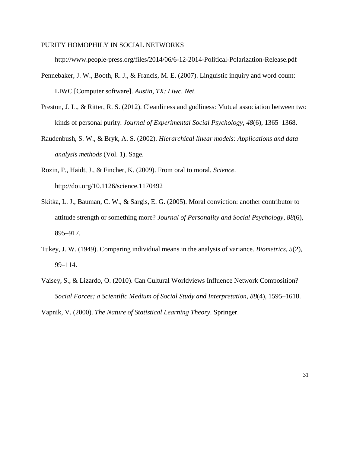<http://www.people-press.org/files/2014/06/6-12-2014-Political-Polarization-Release.pdf>

- [Pennebaker, J. W., Booth, R. J., & Francis, M. E. \(2007\). Linguistic inquiry and word count:](http://paperpile.com/b/W5N4AX/kfVgi)  [LIWC \[Computer software\].](http://paperpile.com/b/W5N4AX/kfVgi) *[Austin, TX: Liwc. Net](http://paperpile.com/b/W5N4AX/kfVgi)*[.](http://paperpile.com/b/W5N4AX/kfVgi)
- Preston, [J. L., & Ritter, R. S. \(2012\). Cleanliness and godliness: Mutual association between two](http://paperpile.com/b/W5N4AX/VFENu)  [kinds of personal purity.](http://paperpile.com/b/W5N4AX/VFENu) *[Journal of Experimental Social Psychology](http://paperpile.com/b/W5N4AX/VFENu)*[,](http://paperpile.com/b/W5N4AX/VFENu) *[48](http://paperpile.com/b/W5N4AX/VFENu)*[\(6\), 1365–1368.](http://paperpile.com/b/W5N4AX/VFENu)
- [Raudenbush, S. W., & Bryk, A. S. \(2002\).](http://paperpile.com/b/W5N4AX/MGSq) *[Hierarchical linear models: Applications and data](http://paperpile.com/b/W5N4AX/MGSq)  [analysis methods](http://paperpile.com/b/W5N4AX/MGSq)* [\(Vol. 1\). Sage.](http://paperpile.com/b/W5N4AX/MGSq)
- [Rozin, P., Haidt, J., & Fincher, K. \(2009\). From oral to moral.](http://paperpile.com/b/W5N4AX/R2T0Q) *[Science](http://paperpile.com/b/W5N4AX/R2T0Q)*[.](http://paperpile.com/b/W5N4AX/R2T0Q)  [http://doi.org/](http://paperpile.com/b/W5N4AX/R2T0Q)[10.1126/science.1170492](http://dx.doi.org/10.1126/science.1170492)
- [Skitka, L. J., Bauman, C. W., & Sargis, E. G. \(2005\). Moral conviction: another contributor to](http://paperpile.com/b/W5N4AX/pPny2)  [attitude strength or something more?](http://paperpile.com/b/W5N4AX/pPny2) *[Journal of Personality and Social Psychology](http://paperpile.com/b/W5N4AX/pPny2)*[,](http://paperpile.com/b/W5N4AX/pPny2) *[88](http://paperpile.com/b/W5N4AX/pPny2)*[\(6\),](http://paperpile.com/b/W5N4AX/pPny2)  [895–917.](http://paperpile.com/b/W5N4AX/pPny2)
- [Tukey, J. W. \(1949\). Comparing individual means in the analysis of variance.](http://paperpile.com/b/W5N4AX/dY1u) *[Biometrics](http://paperpile.com/b/W5N4AX/dY1u)*[,](http://paperpile.com/b/W5N4AX/dY1u) *[5](http://paperpile.com/b/W5N4AX/dY1u)*[\(2\),](http://paperpile.com/b/W5N4AX/dY1u)  [99–114.](http://paperpile.com/b/W5N4AX/dY1u)
- [Vaisey, S., & Lizardo, O. \(2010\). Can Cultural Worldviews Influence Network Composition?](http://paperpile.com/b/W5N4AX/OZ4u4) *[Social Forces; a Scientific Medium of Social Study and Interpretation](http://paperpile.com/b/W5N4AX/OZ4u4)*[,](http://paperpile.com/b/W5N4AX/OZ4u4) *[88](http://paperpile.com/b/W5N4AX/OZ4u4)*[\(4\), 1595–1618.](http://paperpile.com/b/W5N4AX/OZ4u4)

[Vapnik, V. \(2000\).](http://paperpile.com/b/W5N4AX/EeQjj) *[The Nature of Statistical Learning Theory](http://paperpile.com/b/W5N4AX/EeQjj)*[. Springer.](http://paperpile.com/b/W5N4AX/EeQjj)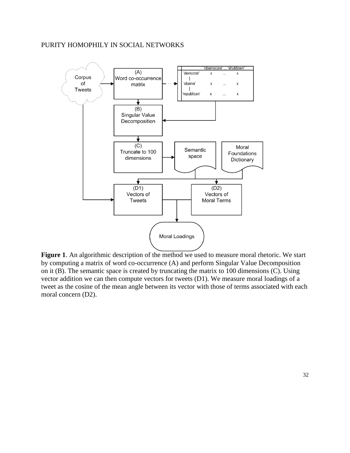

**Figure 1**. An algorithmic description of the method we used to measure moral rhetoric. We start by computing a matrix of word co-occurrence (A) and perform Singular Value Decomposition on it (B). The semantic space is created by truncating the matrix to 100 dimensions (C). Using vector addition we can then compute vectors for tweets (D1). We measure moral loadings of a tweet as the cosine of the mean angle between its vector with those of terms associated with each moral concern (D2).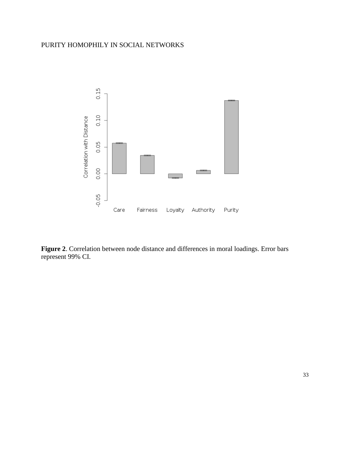

**Figure 2**. Correlation between node distance and differences in moral loadings. Error bars represent 99% CI.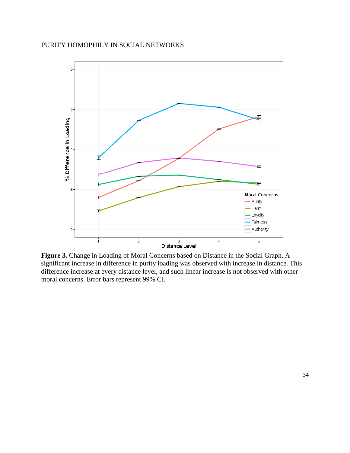

**Figure 3.** Change in Loading of Moral Concerns based on Distance in the Social Graph. A significant increase in difference in purity loading was observed with increase in distance. This difference increase at every distance level, and such linear increase is not observed with other moral concerns. Error bars represent 99% CI.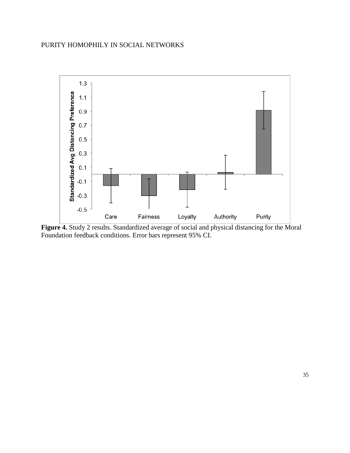

**Figure 4.** Study 2 results. Standardized average of social and physical distancing for the Moral Foundation feedback conditions. Error bars represent 95% CI.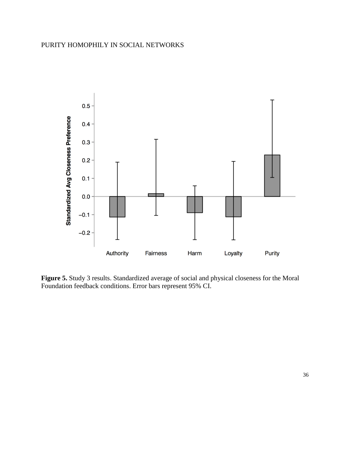

**Figure 5.** Study 3 results. Standardized average of social and physical closeness for the Moral Foundation feedback conditions. Error bars represent 95% CI.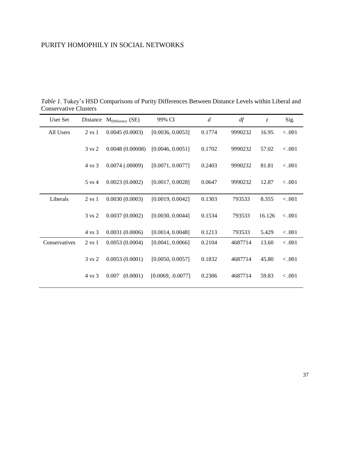| User Set      | Distance          | $MDifference$ (SE)  | 99% CI            | $\overline{d}$ | df      | $\mathcal{Z}$ | Sig.    |
|---------------|-------------------|---------------------|-------------------|----------------|---------|---------------|---------|
| All Users     | $2 \text{ vs } 1$ | 0.0045(0.0003)      | [0.0036, 0.0053]  | 0.1774         | 9990232 | 16.95         | < 0.001 |
|               | 3 vs 2            | 0.0048(0.00008)     | [0.0046, 0.0051]  | 0.1702         | 9990232 | 57.02         | $-.001$ |
|               | 4 ys 3            | $0.0074$ $(.00009)$ | [0.0071, 0.0077]  | 0.2403         | 9990232 | 81.81         | < .001  |
|               | $5 \text{ vs } 4$ | 0.0023(0.0002)      | [0.0017, 0.0028]  | 0.0647         | 9990232 | 12.87         | < .001  |
| Liberals      | $2 \text{ vs } 1$ | 0.0030(0.0003)      | [0.0019, 0.0042]  | 0.1303         | 793533  | 8.355         | < .001  |
|               | 3 vs 2            | 0.0037(0.0002)      | [0.0030, 0.0044]  | 0.1534         | 793533  | 16.126        | < 0.001 |
|               | $4 \text{ vs } 3$ | 0.0031(0.0006)      | [0.0014, 0.0048]  | 0.1213         | 793533  | 5.429         | < 0.001 |
| Conservatives | $2 \text{ vs } 1$ | 0.0053(0.0004)      | [0.0041, 0.0066]  | 0.2104         | 4687714 | 13.60         | < .001  |
|               | 3 vs 2            | 0.0053(0.0001)      | [0.0050, 0.0057]  | 0.1832         | 4687714 | 45.80         | < 0.001 |
|               | 4 vs 3            | 0.007<br>(0.0001)   | [0.0069, .0.0077] | 0.2306         | 4687714 | 59.83         | < .001  |

*Table 1*. Tukey's HSD Comparisons of Purity Differences Between Distance Levels within Liberal and Conservative Clusters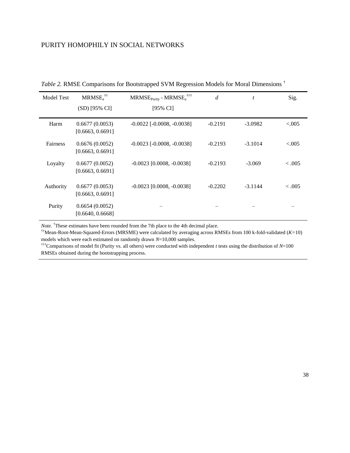| <b>Model Test</b> | $MRMSEa$ <sup>††</sup>             | $MRMSEPurity - MRMSEa†††$           | $\overline{d}$ | t         | Sig.      |
|-------------------|------------------------------------|-------------------------------------|----------------|-----------|-----------|
|                   | (SD) [95% CI]                      | $[95\% \text{ CI}]$                 |                |           |           |
| Harm              | 0.6677(0.0053)<br>[0.6663, 0.6691] | $-0.0022$ [ $-0.0008$ , $-0.0038$ ] | $-0.2191$      | $-3.0982$ | ${<}005$  |
| Fairness          | 0.6676(0.0052)<br>[0.6663, 0.6691] | $-0.0023$ [ $-0.0008$ , $-0.0038$ ] | $-0.2193$      | $-3.1014$ | ${<}.005$ |
| Loyalty           | 0.6677(0.0052)<br>[0.6663, 0.6691] | $-0.0023$ [0.0008, $-0.0038$ ]      | $-0.2193$      | $-3.069$  | < .005    |
| Authority         | 0.6677(0.0053)<br>[0.6663, 0.6691] | $-0.0023$ [0.0008, $-0.0038$ ]      | $-0.2202$      | $-3.1144$ | < 0.005   |
| Purity            | 0.6654(0.0052)<br>[0.6640, 0.6668] |                                     |                |           |           |

*Table 2.* RMSE Comparisons for Bootstrapped SVM Regression Models for Moral Dimensions †

*Note.* <sup>†</sup>These estimates have been rounded from the 7th place to the 4th decimal place.

††Mean-Root-Mean-Squared-Errors (MRSME) were calculated by averaging across RMSEs from 100 k-fold-validated (*K=*10) models which were each estimated on randomly drawn *N*=10,000 samples.

<sup>†††</sup>Comparisons of model fit (Purity vs. all others) were conducted with independent *t* tests using the distribution of  $N=100$ RMSEs obtained during the bootstrapping process.